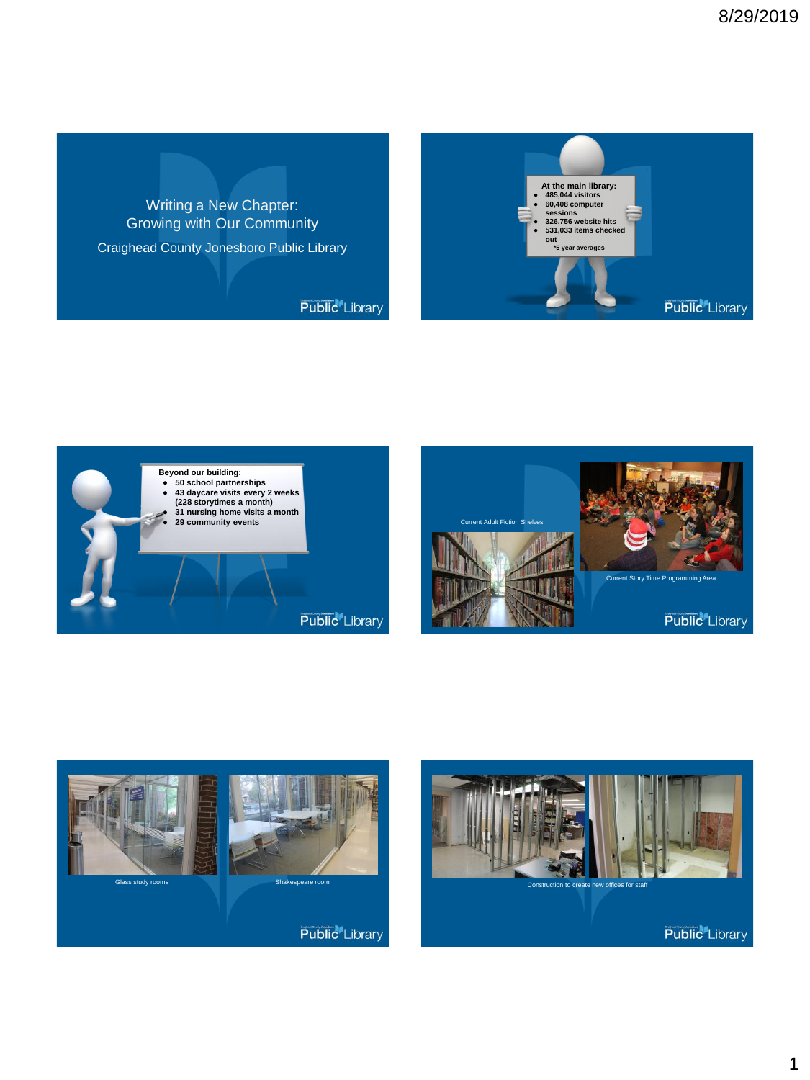Writing a New Chapter: Growing with Our Community Craighead County Jonesboro Public Library

**Public** Library









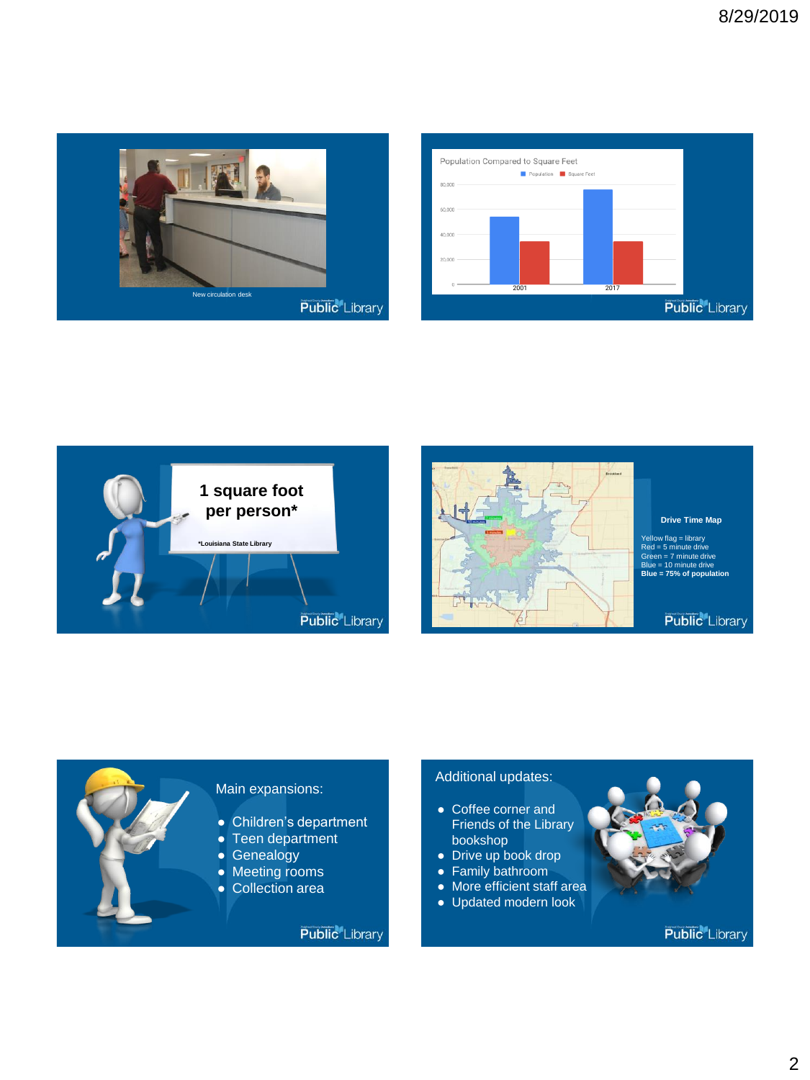









Yellow flag = library Red = 5 minute drive Green = 7 minute drive Blue = 10 minute drive **Blue = 75% of population**

**Public** Library



## Additional updates:

- Coffee corner and Friends of the Library bookshop
- Drive up book drop
- Family bathroom
- More efficient staff area
- Updated modern look

**Public** Library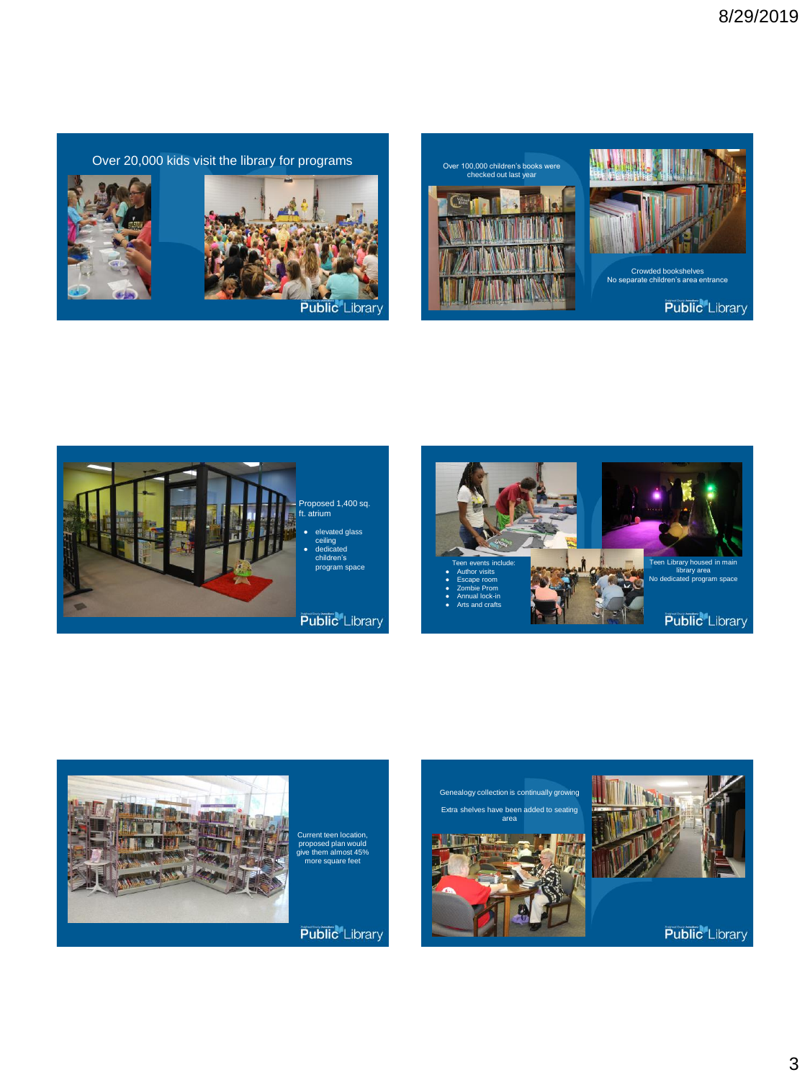Over 20,000 kids visit the library for programs















Current teen location, proposed plan would e them almost 45% more square feet

**Public** Library

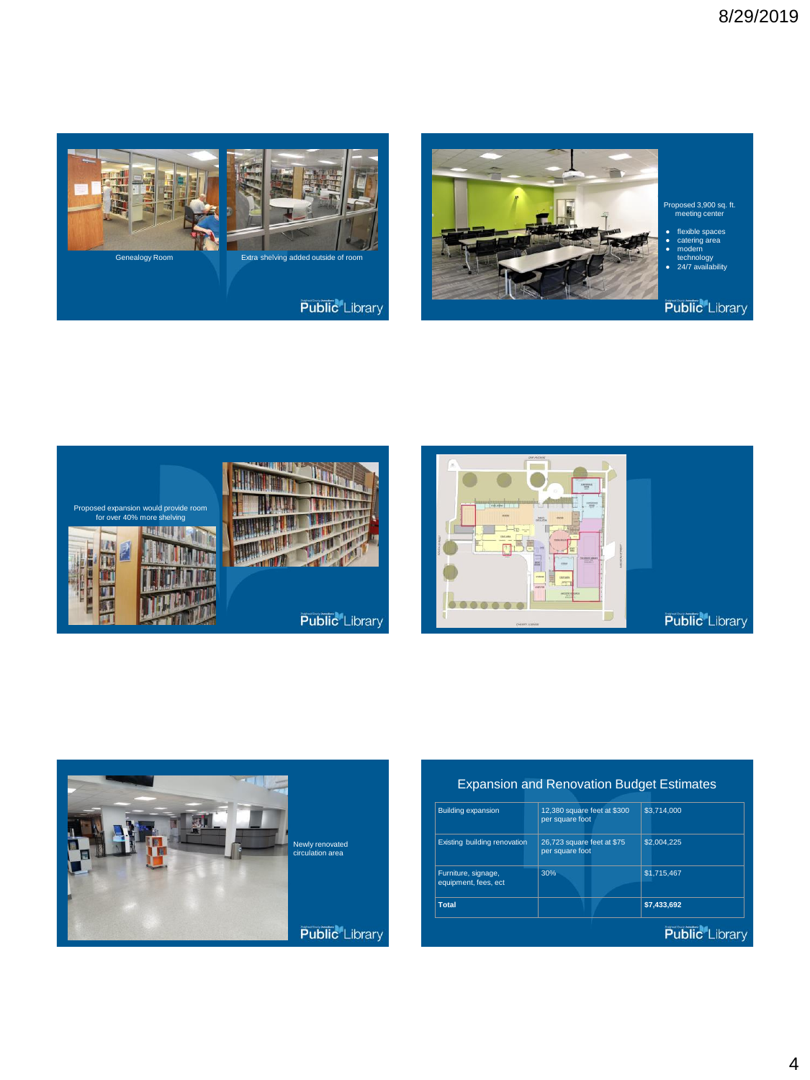









## Expansion and Renovation Budget Estimates

| <b>Building expansion</b>                   | 12,380 square feet at \$300<br>per square foot | \$3,714,000 |
|---------------------------------------------|------------------------------------------------|-------------|
| Existing building renovation                | 26,723 square feet at \$75<br>per square foot  | \$2,004.225 |
| Furniture, signage,<br>equipment, fees, ect | 30%                                            | \$1,715,467 |
| <b>Total</b>                                |                                                | \$7.433.692 |